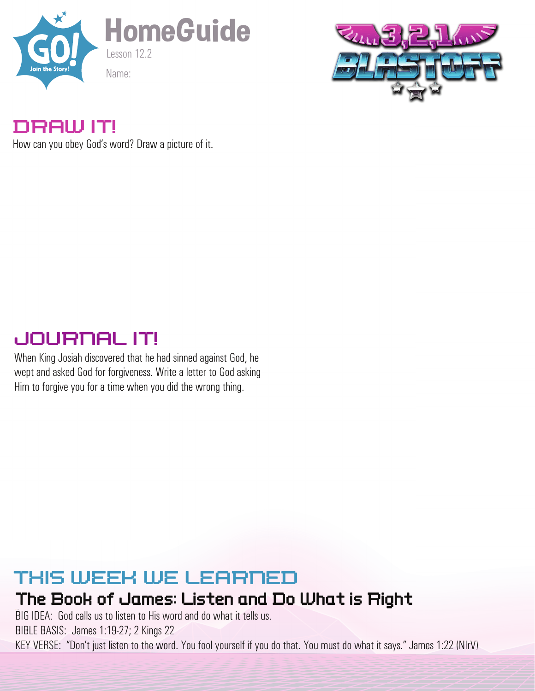



#### DRAW IT!

How can you obey God's word? Draw a picture of it.

# JOURNAL IT!

When King Josiah discovered that he had sinned against God, he wept and asked God for forgiveness. Write a letter to God asking Him to forgive you for a time when you did the wrong thing.

## THIS WEEK WE LEARNED

### The Book of James: Listen and Do What is Right

BIG IDEA: God calls us to listen to His word and do what it tells us. BIBLE BASIS: James 1:19-27; 2 Kings 22 KEY VERSE: "Don't just listen to the word. You fool yourself if you do that. You must do what it says." James 1:22 (NIrV)